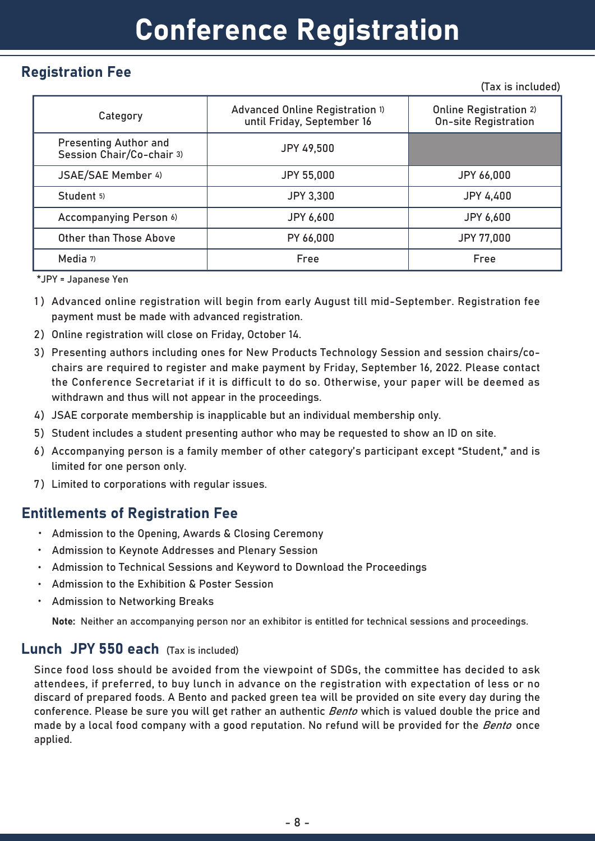# Registration Fee

(Tax is included)

| Category                                                  | Advanced Online Registration 1)<br>until Friday, September 16 | <b>Online Registration 2)</b><br><b>On-site Registration</b> |
|-----------------------------------------------------------|---------------------------------------------------------------|--------------------------------------------------------------|
| <b>Presenting Author and</b><br>Session Chair/Co-chair 3) | <b>JPY 49,500</b>                                             |                                                              |
| JSAE/SAE Member 4)                                        | <b>JPY 55,000</b>                                             | <b>JPY 66,000</b>                                            |
| Student 5)                                                | <b>JPY 3,300</b>                                              | <b>JPY 4,400</b>                                             |
| <b>Accompanying Person 6)</b>                             | <b>JPY 6,600</b>                                              | <b>JPY 6,600</b>                                             |
| Other than Those Above                                    | PY 66,000                                                     | <b>JPY 77,000</b>                                            |
| Media 7)                                                  | Free                                                          | Free                                                         |

\*JPY = Japanese Yen

- 1 ) Advanced online registration will begin from early August till mid-September. Registration fee payment must be made with advanced registration.
- 2) Online registration will close on Friday, October 14.
- 3) Presenting authors including ones for New Products Technology Session and session chairs/cochairs are required to register and make payment by Friday, September 16, 2022. Please contact the Conference Secretariat if it is difficult to do so. Otherwise, your paper will be deemed as withdrawn and thus will not appear in the proceedings.
- 4) JSAE corporate membership is inapplicable but an individual membership only.
- 5) Student includes a student presenting author who may be requested to show an ID on site.
- 6) Accompanying person is a family member of other category's participant except "Student," and is limited for one person only.
- 7 ) Limited to corporations with regular issues.

## Entitlements of Registration Fee

- ・ Admission to the Opening, Awards & Closing Ceremony
- ・ Admission to Keynote Addresses and Plenary Session
- ・ Admission to Technical Sessions and Keyword to Download the Proceedings
- ・ Admission to the Exhibition & Poster Session
- $\bullet$ Admission to Networking Breaks

Note: Neither an accompanying person nor an exhibitor is entitled for technical sessions and proceedings.

#### Lunch JPY 550 each (Tax is included)

Since food loss should be avoided from the viewpoint of SDGs, the committee has decided to ask attendees, if preferred, to buy lunch in advance on the registration with expectation of less or no discard of prepared foods. A Bento and packed green tea will be provided on site every day during the conference. Please be sure you will get rather an authentic *Bento* which is valued double the price and made by a local food company with a good reputation. No refund will be provided for the *Bento* once applied.